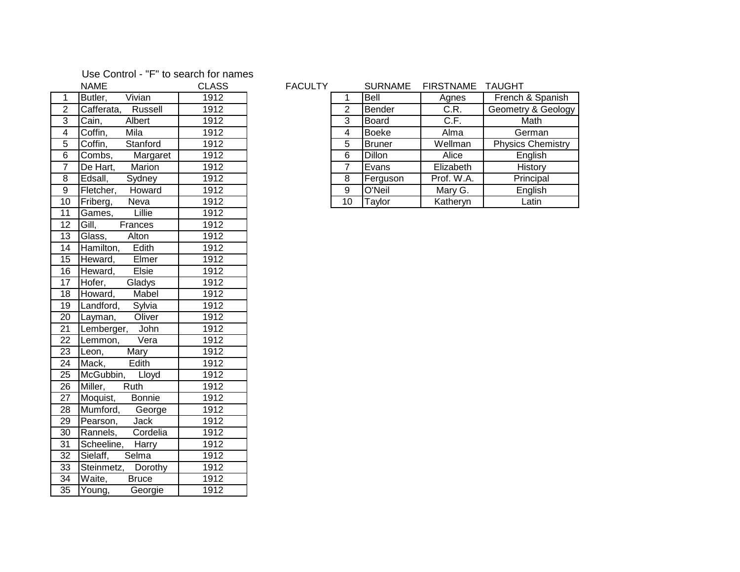## Use Control - "F" to search for names

|                 | NAME                                                   | CLASS |
|-----------------|--------------------------------------------------------|-------|
| $\overline{1}$  | Vivian<br>Butler,                                      | 1912  |
| $\overline{2}$  | Cafferata, Russell                                     | 1912  |
| $\overline{3}$  | Albert<br>$\overline{C}$ ain, $\overline{\phantom{a}}$ | 1912  |
| $\overline{4}$  | Coffin,<br>Mila                                        | 1912  |
| $\overline{5}$  | Coffin,<br>Stanford                                    | 1912  |
| $\overline{6}$  | Combs,<br>Margaret                                     | 1912  |
| $\overline{7}$  | De Hart, Marion                                        | 1912  |
| $\overline{8}$  | Edsall, Sydney                                         | 1912  |
| $\overline{9}$  | Fletcher, Howard                                       | 1912  |
| 10              | Friberg, Neva                                          | 1912  |
| $\overline{11}$ |                                                        | 1912  |
| $\overline{12}$ | Games, Lillie<br>Gill, Frances                         | 1912  |
| $\overline{13}$ | Glass, Alton                                           | 1912  |
| $\overline{14}$ | Hamilton, Edith<br>Heward, Elmer                       | 1912  |
| 15              |                                                        | 1912  |
| $\overline{16}$ | Heward, Elsie                                          | 1912  |
| $\overline{17}$ | Hofer,<br>Gladys                                       | 1912  |
| $\overline{18}$ | Howard, Mabel                                          | 1912  |
| $\overline{19}$ | Landford, Sylvia                                       | 1912  |
| $\overline{20}$ | Layman, Oliver                                         | 1912  |
| $\overline{21}$ | Lemberger, John                                        | 1912  |
| $\overline{22}$ | Lemmon, Vera                                           | 1912  |
| 23              | Leon, Mary<br>Mack, Edith                              | 1912  |
| $\overline{24}$ | Mack,                                                  | 1912  |
| $\overline{25}$ | McGubbin, Lloyd                                        | 1912  |
| 26              | Miller, Ruth                                           | 1912  |
| 27              | Moquist, Bonnie                                        | 1912  |
| $\overline{28}$ | Mumford, George                                        | 1912  |
| 29              | Pearson, Jack                                          | 1912  |
| 30              | Rannels, Cordelia                                      | 1912  |
| $\overline{31}$ | Scheeline, Harry                                       | 1912  |
| $\overline{32}$ | Sielaff, Selma                                         | 1912  |
| $\overline{33}$ | Steinmetz, Dorothy                                     | 1912  |
| $\overline{34}$ | Waite,<br><b>Bruce</b>                                 | 1912  |
| $\overline{35}$ | Young,<br>Georgie                                      | 1912  |

## FACULTY SURNAME FIRSTNAME TAUGHT

|                | Butler,    | Vivian   | 1912 |    | Bell          | Agnes      | French & Spanish         |
|----------------|------------|----------|------|----|---------------|------------|--------------------------|
| 2              | Cafferata, | Russell  | 1912 | າ  | <b>Bender</b> | C.R.       | Geometry & Geology       |
| 3              | Cain,      | Albert   | 1912 | 3  | <b>Board</b>  | C.F.       | Math                     |
| 4              | Coffin,    | Mila     | 1912 |    | <b>Boeke</b>  | Alma       | German                   |
| 5              | Coffin,    | Stanford | 1912 | 5  | Bruner        | Wellman    | <b>Physics Chemistry</b> |
| 6              | Combs,     | Margaret | 1912 | 6  | <b>Dillon</b> | Alice      | English                  |
| $\overline{7}$ | De Hart,   | Marion   | 1912 |    | Evans         | Elizabeth  | History                  |
| 8              | Edsall,    | Sydney   | 1912 | 8  | Ferguson      | Prof. W.A. | Principal                |
| 9              | Fletcher,  | Howard   | 1912 | 9  | O'Neil        | Mary G.    | English                  |
| 10             | Friberg,   | Neva     | 1912 | 10 | Taylor        | Katheryn   | Latin                    |
|                |            |          |      |    |               |            |                          |